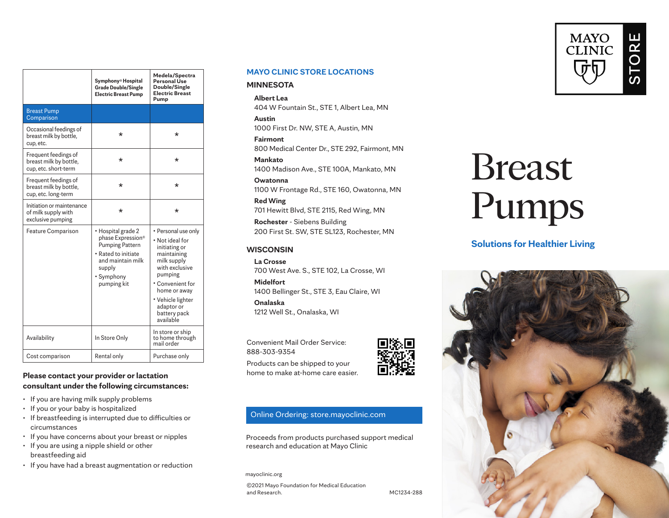|                                                                        | Symphony <sup>®</sup> Hospital<br><b>Grade Double/Single</b><br><b>Electric Breast Pump</b>                                                          | Medela/Spectra<br>Personal Use<br>Double/Single<br><b>Electric Breast</b><br>Pump                                                                                                                         |
|------------------------------------------------------------------------|------------------------------------------------------------------------------------------------------------------------------------------------------|-----------------------------------------------------------------------------------------------------------------------------------------------------------------------------------------------------------|
| <b>Breast Pump</b><br>Comparison                                       |                                                                                                                                                      |                                                                                                                                                                                                           |
| Occasional feedings of<br>breast milk by bottle,<br>cup, etc.          | $^\star$                                                                                                                                             | *                                                                                                                                                                                                         |
| Frequent feedings of<br>breast milk by bottle,<br>cup, etc. short-term | $^\star$                                                                                                                                             | *                                                                                                                                                                                                         |
| Frequent feedings of<br>breast milk by bottle,<br>cup, etc. long-term  | $^\star$                                                                                                                                             | *                                                                                                                                                                                                         |
| Initiation or maintenance<br>of milk supply with<br>exclusive pumping  | $\star$                                                                                                                                              | $\star$                                                                                                                                                                                                   |
| Feature Comparison                                                     | • Hospital grade 2<br>phase Expression®<br><b>Pumping Pattern</b><br>• Rated to initiate<br>and maintain milk<br>supply<br>• Symphony<br>pumping kit | • Personal use only<br>• Not ideal for<br>initiating or<br>maintaining<br>milk supply<br>with exclusive<br>pumping<br>• Convenient for<br>home or away<br>• Vehicle lighter<br>adaptor or<br>battery pack |
|                                                                        |                                                                                                                                                      | available<br>In store or ship                                                                                                                                                                             |
| Availability                                                           | In Store Only                                                                                                                                        | to home through<br>mail order                                                                                                                                                                             |
| Cost comparison                                                        | Rental only                                                                                                                                          | Purchase only                                                                                                                                                                                             |

## **Please contact your provider or lactation consultant under the following circumstances:**

- If you are having milk supply problems
- If you or your baby is hospitalized
- If breastfeeding is interrupted due to difficulties or circumstances
- If you have concerns about your breast or nipples
- If you are using a nipple shield or other breastfeeding aid
- If you have had a breast augmentation or reduction

#### **MAYO CLINIC STORE LOCATIONS**

#### **MINNESOTA**

#### **Albert Lea** 404 W Fountain St., STE 1, Albert Lea, MN

**Austin** 1000 First Dr. NW, STE A, Austin, MN

**Fairmont** 800 Medical Center Dr., STE 292, Fairmont, MN

**Mankato** 1400 Madison Ave., STE 100A, Mankato, MN

**Owatonna** 1100 W Frontage Rd., STE 160, Owatonna, MN

**Red Wing** 701 Hewitt Blvd, STE 2115, Red Wing, MN

**Rochester** - Siebens Building 200 First St. SW, STE SL123, Rochester, MN

### **WISCONSIN**

**La Crosse** 700 West Ave. S., STE 102, La Crosse, WI

**Midelfort** 1400 Bellinger St., STE 3, Eau Claire, WI

**Onalaska** 1212 Well St., Onalaska, WI

Convenient Mail Order Service: 888-303-9354

Products can be shipped to your home to make at-home care easier.



## Online Ordering: store.mayoclinic.com

Proceeds from products purchased support medical research and education at Mayo Clinic

mayoclinic.org

©2021 Mayo Foundation for Medical Education and Research. The contraction of the MC1234-288

# Breast Pumps

**Solutions for Healthier Living**